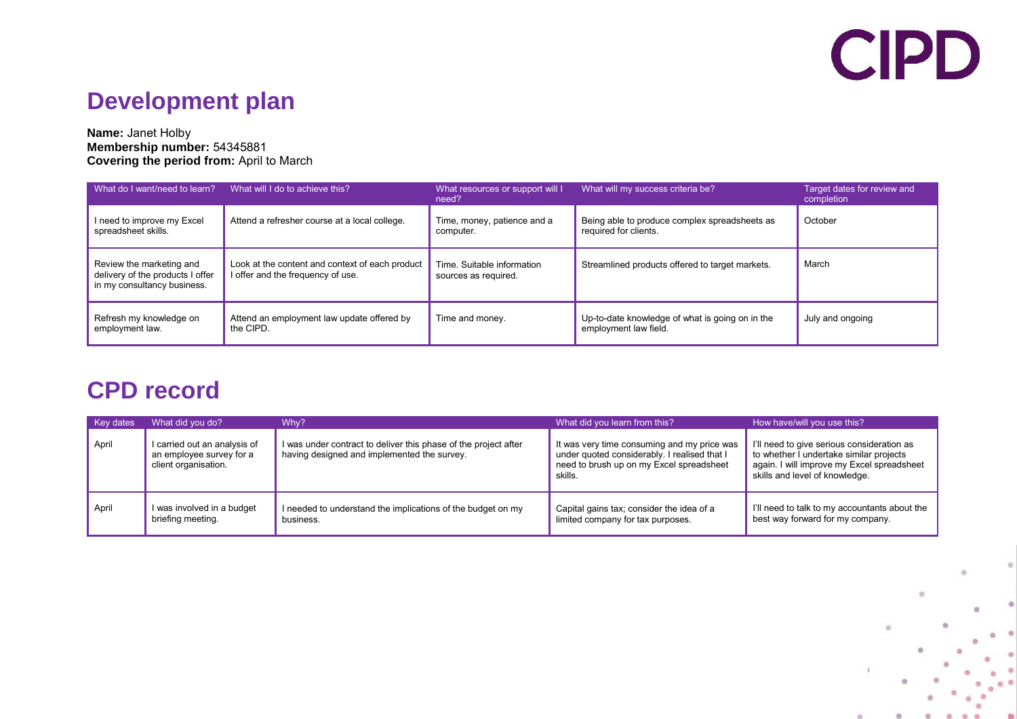## **CIPD**

## **Development plan**

#### **Name:** Janet Holby **Membership number:** 54345881 **Covering the period from:** April to March

| What do I want/need to learn?                                                               | What will I do to achieve this?                                                      | What resources or support will I<br>need?          | What will my success criteria be?                                        | Target dates for review and<br>completion |
|---------------------------------------------------------------------------------------------|--------------------------------------------------------------------------------------|----------------------------------------------------|--------------------------------------------------------------------------|-------------------------------------------|
| I need to improve my Excel<br>spreadsheet skills.                                           | Attend a refresher course at a local college.                                        | Time, money, patience and a<br>computer.           | Being able to produce complex spreadsheets as<br>required for clients.   | October                                   |
| Review the marketing and<br>delivery of the products I offer<br>in my consultancy business. | Look at the content and context of each product<br>I offer and the frequency of use. | Time. Suitable information<br>sources as required. | Streamlined products offered to target markets.                          | March                                     |
| Refresh my knowledge on<br>employment law.                                                  | Attend an employment law update offered by<br>the CIPD.                              | Time and money.                                    | Up-to-date knowledge of what is going on in the<br>employment law field. | July and ongoing                          |

### **CPD record**

| <b>Key dates</b> | What did you do?                                                                 | Why?                                                                                                           | What did you learn from this?                                                                                                                      | How have/will you use this?                                                                                                                                           |
|------------------|----------------------------------------------------------------------------------|----------------------------------------------------------------------------------------------------------------|----------------------------------------------------------------------------------------------------------------------------------------------------|-----------------------------------------------------------------------------------------------------------------------------------------------------------------------|
| April            | I carried out an analysis of<br>an employee survey for a<br>client organisation. | I was under contract to deliver this phase of the project after<br>having designed and implemented the survey. | It was very time consuming and my price was<br>under quoted considerably. I realised that I<br>need to brush up on my Excel spreadsheet<br>skills. | I'll need to give serious consideration as<br>to whether I undertake similar projects<br>again. I will improve my Excel spreadsheet<br>skills and level of knowledge. |
| April            | I was involved in a budget<br>briefing meeting.                                  | I needed to understand the implications of the budget on my<br>business.                                       | Capital gains tax; consider the idea of a<br>limited company for tax purposes.                                                                     | I'll need to talk to my accountants about the<br>best way forward for my company.                                                                                     |